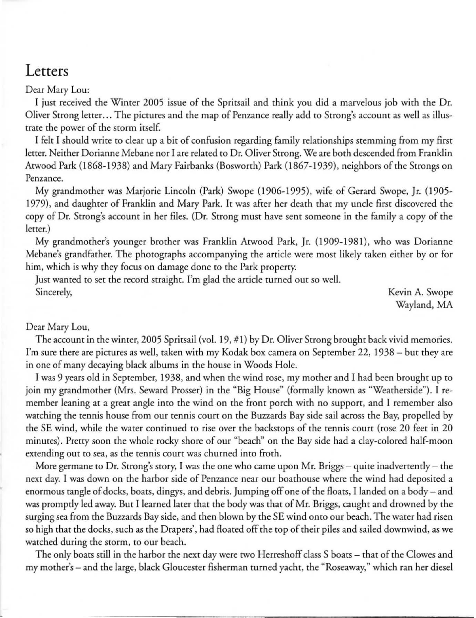## **Letters**

Dear Mary Lou:

I just received the Winter 2005 issue of the Spritsail and think you did a marvelous job with the Dr. Oliver Strong letter .. . The pictures and the map of Penzance really add to Strong's account as well as illustrate the power of the storm itself.

I felt I should write to clear up a bit of confusion regarding family relationships stemming from my first letter. Neither Dorianne Mebane nor I are related to Dr. Oliver Strong. We are both descended from Franklin Atwood Park (1868-1938) and Mary Fairbanks (Bosworth) Park (1867-1939), neighbors of the Strongs on **Penzance.** 

My grandmother was Marjorie Lincoln (Park) Swope (1906-1995), wife of Gerard Swope, Jr. (1905-1979), and daughter of Franklin and Mary Park. It was after her death that my uncle first discovered the copy of Dr. Strong's account in her files. (Dr. Strong must have sent someone in the family a copy of the letter.)

My grandmother's younger brother was Franklin Atwood Park, Jr. (1909-1981), who was Dorianne Mebane's grandfather. The photographs accompanying the article were most likely taken either by or for him, which is why they focus on damage done to the Park property.

Just wanted to set the record straight. I'm glad the article turned out so well. Sincerely, Kevin A. Swope

Wayland, MA

## Dear Mary Lou,

The account in the winter, 2005 Spritsail (vol. 19, # I) by Dr. Oliver Strong brought back vivid memories. I'm sure there are pictures as well, taken with my Kodak box camera on September 22, 1938 - but they are in one of many decaying black albums in the house in Woods Hole.

I was 9 years old in September, 1938, and when the wind rose, my mother and I had been brought up to join my grandmother (Mrs. Seward Prosser) in the "Big House" (formally known as "Weatherside"). I remember leaning at a great angle into the wind on the front porch with no support, and I remember also watching the tennis house from our tennis court on the Buzzards Bay side sail across the Bay, propelled by the SE wind, while the water continued to rise over the backstops of the tennis court (rose 20 feet in 20 minutes). Pretty soon the whole rocky shore of our "beach" on the Bay side had a clay-colored half-moon extending out to sea, as the tennis court was churned into froth.

More germane to Dr. Strong's story, I was the one who came upon Mr. Briggs  $-$  quite inadvertently  $-$  the next day. I was down on the harbor side of Penzance near our boathouse where the wind had deposited a enormous tangle of docks, boats, dingys, and debris. Jumping off one of the floats, 1 landed on a body - and was promptly led away. But I learned later that the body was that of Mr. Briggs, caught and drowned by the surging sea from the Buzzards Bay side, and then blown by the SE wind Onto our beach. The water had risen so high that the docks, such as the Drapers', had floated off the top of their piles and sailed downwind, as we watched during the storm, to our beach.

The only boats still in the harbor the next day were two Herreshoff class S boats - that of the Clowes and my mother's - and the large, black Gloucester fisherman turned yacht, the "Roseaway," which ran her diesel